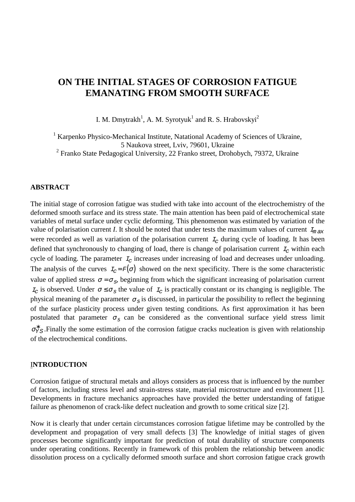# **ON THE INITIAL STAGES OF CORROSION FATIGUE EMANATING FROM SMOOTH SURFACE**

I. M. Dmytrakh<sup>1</sup>, A. M. Syrotyuk<sup>1</sup> and R. S. Hrabovskyi<sup>2</sup>

<sup>1</sup> Karpenko Physico-Mechanical Institute, Natational Academy of Sciences of Ukraine, 5 Naukova street, Lviv, 79601, Ukraine

<sup>2</sup> Franko State Pedagogical University, 22 Franko street, Drohobych, 79372, Ukraine

## **ABSTRACT**

The initial stage of corrosion fatigue was studied with take into account of the electrochemistry of the deformed smooth surface and its stress state. The main attention has been paid of electrochemical state variables of metal surface under cyclic deforming. This phenomenon was estimated by variation of the value of polarisation current *I*. It should be noted that under tests the maximum values of current  $I_{\text{max}}$ were recorded as well as variation of the polarisation current  $I_c$  during cycle of loading. It has been defined that synchronously to changing of load, there is change of polarisation current  $I_c$  within each cycle of loading. The parameter  $I_c$  increases under increasing of load and decreases under unloading. The analysis of the curves  $I_c = F(\sigma)$  showed on the next specificity. There is the some characteristic value of applied stress  $\sigma = \sigma_s$ , beginning from which the significant increasing of polarisation current  $I_c$  is observed. Under  $\sigma \leq \sigma_s$  the value of  $I_c$  is practically constant or its changing is negligible. The physical meaning of the parameter  $\sigma_s$  is discussed, in particular the possibility to reflect the beginning of the surface plasticity process under given testing conditions. As first approximation it has been postulated that parameter  $\sigma_s$  can be considered as the conventional surface yield stress limit  $\sigma_{YS}^*$ . Finally the some estimation of the corrosion fatigue cracks nucleation is given with relationship of the electrochemical conditions.

#### I**NTRODUCTION**

Corrosion fatigue of structural metals and alloys considers as process that is influenced by the number of factors, including stress level and strain-stress state, material microstructure and environment [1]. Developments in fracture mechanics approaches have provided the better understanding of fatigue failure as phenomenon of crack-like defect nucleation and growth to some critical size [2].

Now it is clearly that under certain circumstances corrosion fatigue lifetime may be controlled by the development and propagation of very small defects [3] The knowledge of initial stages of given processes become significantly important for prediction of total durability of structure components under operating conditions. Recently in framework of this problem the relationship between anodic dissolution process on a cyclically deformed smooth surface and short corrosion fatigue crack growth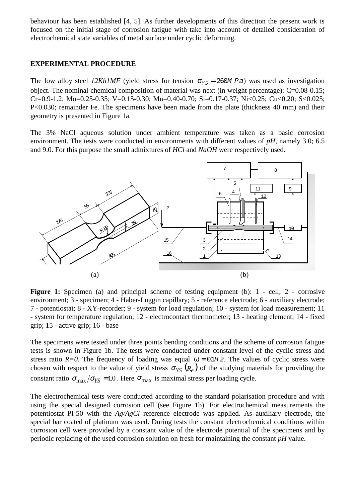behaviour has been established [4, 5]. As further developments of this direction the present work is focused on the initial stage of corrosion fatigue with take into account of detailed consideration of electrochemical state variables of metal surface under cyclic deforming.

#### **EXPERIMENTAL PROCEDURE**

The low alloy steel *12Kh1MF* (yield stress for tension  $\sigma_{\gamma s} = 260M$  Pa) was used as investigation object. The nominal chemical composition of material was next (in weight percentage): C=0.08-0.15; Cr=0.9-1.2; Mo=0.25-0.35; V=0.15-0.30; Mn=0.40-0.70; Si=0.17-0.37; Ni<0.25; Cu<0.20; S<0.025; P<0.030; remainder Fe. The specimens have been made from the plate (thickness 40 mm) and their geometry is presented in Figure 1a.

The 3% NaCl aqueous solution under ambient temperature was taken as a basic corrosion environment. The tests were conducted in environments with different values of *pH*, namely 3.0; 6.5 and 9.0. For this purpose the small admixtures of *HCl* and *NaOH* were respectively used.



Figure 1: Specimen (a) and principal scheme of testing equipment (b): 1 - cell; 2 - corrosive environment; 3 - specimen; 4 - Haber-Luggin capillary; 5 - reference electrode; 6 - auxiliary electrode; 7 - potentiostat; 8 - XY-recorder; 9 - system for load regulation; 10 - system for load measurement; 11 - system for temperature regulation; 12 - electrocontact thermometer; 13 - heating element; 14 - fixed grip; 15 - active grip; 16 - base

The specimens were tested under three points bending conditions and the scheme of corrosion fatigue tests is shown in Figure 1b. The tests were conducted under constant level of the cyclic stress and stress ratio  $R=0$ . The frequency of loading was equal  $\omega = 0.1H z$ . The values of cyclic stress were chosen with respect to the value of yield stress  $\sigma_{YS} (R_e)$  of the studying materials for providing the constant ratio  $\sigma_{\text{max}}/\sigma_{\text{YS}} = 1.0$ . Here  $\sigma_{\text{max}}$  is maximal stress per loading cycle.

The electrochemical tests were conducted according to the standard polarisation procedure and with using the special designed corrosion cell (see Figure 1b). For electrochemical measurements the potentiostat PI-50 with the *Ag/AgCl* reference electrode was applied. As auxiliary electrode, the special bar coated of platinum was used. During tests the constant electrochemical conditions within corrosion cell were provided by a constant value of the electrode potential of the specimens and by periodic replacing of the used corrosion solution on fresh for maintaining the constant *pH* value.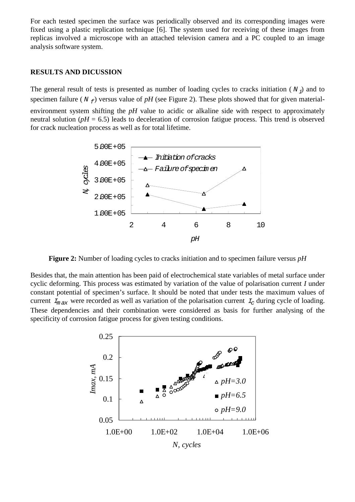For each tested specimen the surface was periodically observed and its corresponding images were fixed using a plastic replication technique [6]. The system used for receiving of these images from replicas involved a microscope with an attached television camera and a PC coupled to an image analysis software system.

#### **RESULTS AND DICUSSION**

The general result of tests is presented as number of loading cycles to cracks initiation ( $N_i$ ) and to specimen failure ( $N_f$ ) versus value of pH (see Figure 2). These plots showed that for given materialenvironment system shifting the *pH* value to acidic or alkaline side with respect to approximately neutral solution ( $pH = 6.5$ ) leads to deceleration of corrosion fatigue process. This trend is observed for crack nucleation process as well as for total lifetime.



**Figure 2:** Number of loading cycles to cracks initiation and to specimen failure versus *pH*

Besides that, the main attention has been paid of electrochemical state variables of metal surface under cyclic deforming. This process was estimated by variation of the value of polarisation current *I* under constant potential of specimen's surface. It should be noted that under tests the maximum values of current  $I_{max}$  were recorded as well as variation of the polarisation current  $I_c$  during cycle of loading. These dependencies and their combination were considered as basis for further analysing of the specificity of corrosion fatigue process for given testing conditions.

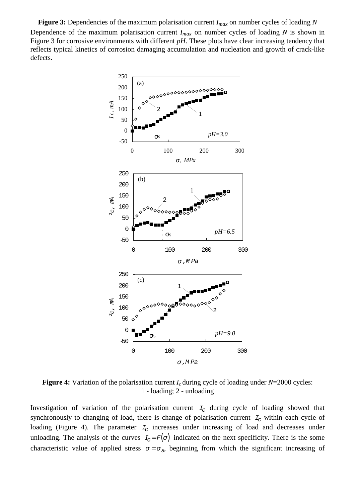**Figure 3:** Dependencies of the maximum polarisation current *Imax* on number cycles of loading *N* Dependence of the maximum polarisation current  $I_{max}$  on number cycles of loading *N* is shown in Figure 3 for corrosive environments with different *pH*. These plots have clear increasing tendency that reflects typical kinetics of corrosion damaging accumulation and nucleation and growth of crack-like defects.



**Figure 4:** Variation of the polarisation current *I<sub>c</sub>* during cycle of loading under *N*=2000 cycles: 1 - loading; 2 - unloading

Investigation of variation of the polarisation current  $I_c$  during cycle of loading showed that synchronously to changing of load, there is change of polarisation current  $I_c$  within each cycle of loading (Figure 4). The parameter  $I_c$  increases under increasing of load and decreases under unloading. The analysis of the curves  $I_c = F(\sigma)$  indicated on the next specificity. There is the some characteristic value of applied stress  $\sigma = \sigma_s$ , beginning from which the significant increasing of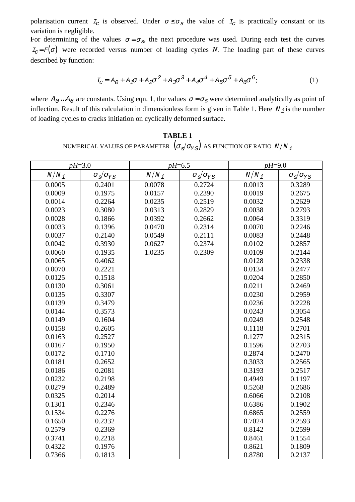polarisation current  $I_c$  is observed. Under  $\sigma \leq \sigma_s$  the value of  $I_c$  is practically constant or its variation is negligible.

For determining of the values  $\sigma = \sigma_s$ , the next procedure was used. During each test the curves  $I_{\rm C} = F(\sigma)$  were recorded versus number of loading cycles *N*. The loading part of these curves described by function:

$$
I_C = A_0 + A_1 \sigma + A_2 \sigma^2 + A_3 \sigma^3 + A_4 \sigma^4 + A_5 \sigma^5 + A_6 \sigma^6; \tag{1}
$$

where  $A_0 \, ... A_6$  are constants. Using eqn. 1, the values  $\sigma = \sigma_s$  were determined analytically as point of inflection. Result of this calculation in dimensionless form is given in Table 1. Here  $N_i$  is the number of loading cycles to cracks initiation on cyclically deformed surface.

## **TABLE 1** NUMERICAL VALUES OF PARAMETER  $(\sigma_s/\sigma_{YS})$  as function of ratio  $N/N_{\perp}$

| $pH=3.0$             |                                                                    | $pH = 6.5$           |                                                                    | $pH=9.0$       |                                                                    |
|----------------------|--------------------------------------------------------------------|----------------------|--------------------------------------------------------------------|----------------|--------------------------------------------------------------------|
| $N\big/N$ $_{\it 1}$ | $\sigma_{\scriptscriptstyle S}\!/\sigma_{\scriptscriptstyle {YS}}$ | $N\big/N$ $_{\it 1}$ | $\sigma_{\scriptscriptstyle S}\!/\sigma_{\scriptscriptstyle {YS}}$ | $N/N_{\it{i}}$ | $\sigma_{\scriptscriptstyle S}\!/\sigma_{\scriptscriptstyle {YS}}$ |
| 0.0005               | 0.2401                                                             | 0.0078               | 0.2724                                                             | 0.0013         | 0.3289                                                             |
| 0.0009               | 0.1975                                                             | 0.0157               | 0.2390                                                             | 0.0019         | 0.2675                                                             |
| 0.0014               | 0.2264                                                             | 0.0235               | 0.2519                                                             | 0.0032         | 0.2629                                                             |
| 0.0023               | 0.3080                                                             | 0.0313               | 0.2829                                                             | 0.0038         | 0.2793                                                             |
| 0.0028               | 0.1866                                                             | 0.0392               | 0.2662                                                             | 0.0064         | 0.3319                                                             |
| 0.0033               | 0.1396                                                             | 0.0470               | 0.2314                                                             | 0.0070         | 0.2246                                                             |
| 0.0037               | 0.2140                                                             | 0.0549               | 0.2111                                                             | 0.0083         | 0.2448                                                             |
| 0.0042               | 0.3930                                                             | 0.0627               | 0.2374                                                             | 0.0102         | 0.2857                                                             |
| 0.0060               | 0.1935                                                             | 1.0235               | 0.2309                                                             | 0.0109         | 0.2144                                                             |
| 0.0065               | 0.4062                                                             |                      |                                                                    | 0.0128         | 0.2338                                                             |
| 0.0070               | 0.2221                                                             |                      |                                                                    | 0.0134         | 0.2477                                                             |
| 0.0125               | 0.1518                                                             |                      |                                                                    | 0.0204         | 0.2850                                                             |
| 0.0130               | 0.3061                                                             |                      |                                                                    | 0.0211         | 0.2469                                                             |
| 0.0135               | 0.3307                                                             |                      |                                                                    | 0.0230         | 0.2959                                                             |
| 0.0139               | 0.3479                                                             |                      |                                                                    | 0.0236         | 0.2228                                                             |
| 0.0144               | 0.3573                                                             |                      |                                                                    | 0.0243         | 0.3054                                                             |
| 0.0149               | 0.1604                                                             |                      |                                                                    | 0.0249         | 0.2548                                                             |
| 0.0158               | 0.2605                                                             |                      |                                                                    | 0.1118         | 0.2701                                                             |
| 0.0163               | 0.2527                                                             |                      |                                                                    | 0.1277         | 0.2315                                                             |
| 0.0167               | 0.1950                                                             |                      |                                                                    | 0.1596         | 0.2703                                                             |
| 0.0172               | 0.1710                                                             |                      |                                                                    | 0.2874         | 0.2470                                                             |
| 0.0181               | 0.2652                                                             |                      |                                                                    | 0.3033         | 0.2565                                                             |
| 0.0186               | 0.2081                                                             |                      |                                                                    | 0.3193         | 0.2517                                                             |
| 0.0232               | 0.2198                                                             |                      |                                                                    | 0.4949         | 0.1197                                                             |
| 0.0279               | 0.2489                                                             |                      |                                                                    | 0.5268         | 0.2686                                                             |
| 0.0325               | 0.2014                                                             |                      |                                                                    | 0.6066         | 0.2108                                                             |
| 0.1301               | 0.2346                                                             |                      |                                                                    | 0.6386         | 0.1902                                                             |
| 0.1534               | 0.2276                                                             |                      |                                                                    | 0.6865         | 0.2559                                                             |
| 0.1650               | 0.2332                                                             |                      |                                                                    | 0.7024         | 0.2593                                                             |
| 0.2579               | 0.2369                                                             |                      |                                                                    | 0.8142         | 0.2599                                                             |
| 0.3741               | 0.2218                                                             |                      |                                                                    | 0.8461         | 0.1554                                                             |
| 0.4322               | 0.1976                                                             |                      |                                                                    | 0.8621         | 0.1809                                                             |
| 0.7366               | 0.1813                                                             |                      |                                                                    | 0.8780         | 0.2137                                                             |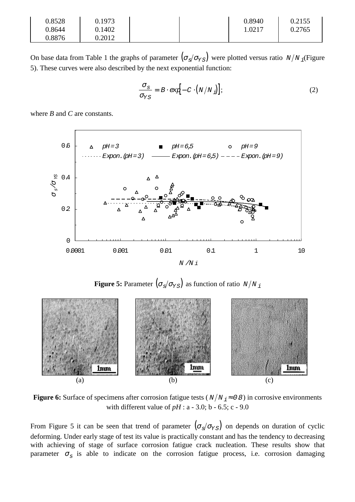| 0.8528 | 0.1973 |  | 0.8940 | 0.2155 |
|--------|--------|--|--------|--------|
| 0.8644 | 0.1402 |  | 1.0217 | 0.2765 |
| 0.8876 | 0.2012 |  |        |        |

On base data from Table 1 the graphs of parameter  $(\sigma_s/\sigma_{YS})$  were plotted versus ratio  $N/N_i$  (Figure 5). These curves were also described by the next exponential function:

$$
\frac{\sigma_S}{\sigma_{YS}} = B \cdot \exp[-C \cdot (N/N_j)], \qquad (2)
$$

where *B* and *C* are constants.



**Figure 5:** Parameter  $(\sigma_s/\sigma_{YS})$  as function of ratio  $N/N_i$ 



**Figure 6:** Surface of specimens after corrosion fatigue tests ( $N/N_i \approx 0.8$ ) in corrosive environments with different value of *pH* : a - 3.0; b - 6.5; c - 9.0

From Figure 5 it can be seen that trend of parameter  $(\sigma_s/\sigma_{YS})$  on depends on duration of cyclic deforming. Under early stage of test its value is practically constant and has the tendency to decreasing with achieving of stage of surface corrosion fatigue crack nucleation. These results show that parameter  $\sigma_s$  is able to indicate on the corrosion fatigue process, i.e. corrosion damaging